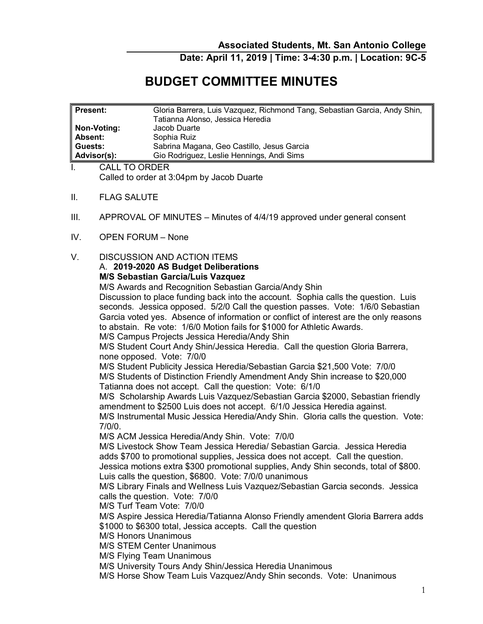**Date: April 11, 2019 | Time: 3-4:30 p.m. | Location: 9C-5** 

## **BUDGET COMMITTEE MINUTES**

| <b>Present:</b>                     | Gloria Barrera, Luis Vazquez, Richmond Tang, Sebastian Garcia, Andy Shin, |
|-------------------------------------|---------------------------------------------------------------------------|
|                                     | Tatianna Alonso, Jessica Heredia                                          |
| Non-Voting:                         | Jacob Duarte                                                              |
| Absent:                             | Sophia Ruiz                                                               |
| Guests:                             | Sabrina Magana, Geo Castillo, Jesus Garcia                                |
| Advisor(s):                         | Gio Rodriguez, Leslie Hennings, Andi Sims                                 |
| $OMI$ $T0$ $\cap$ n $\cap$ n $\cap$ |                                                                           |

 Called to order at 3:04pm by Jacob Duarte I. CALL TO ORDER

- **FLAG SALUTE**
- II. FLAG SALUTE<br>III. APPROVAL OF MINUTES Minutes of 4/4/19 approved under general consent
- IV. OPEN FORUM None

## V. DISCUSSION AND ACTION ITEMS A. **2019-2020 AS Budget Deliberations**

## **M/S Sebastian Garcia/Luis Vazquez**

 seconds. Jessica opposed. 5/2/0 Call the question passes. Vote: 1/6/0 Sebastian Garcia voted yes. Absence of information or conflict of interest are the only reasons to abstain. Re vote: 1/6/0 Motion fails for \$1000 for Athletic Awards. M/S Awards and Recognition Sebastian Garcia/Andy Shin Discussion to place funding back into the account. Sophia calls the question. Luis

M/S Campus Projects Jessica Heredia/Andy Shin

 M/S Student Court Andy Shin/Jessica Heredia. Call the question Gloria Barrera, none opposed. Vote: 7/0/0

 Tatianna does not accept. Call the question: Vote: 6/1/0 M/S Student Publicity Jessica Heredia/Sebastian Garcia \$21,500 Vote: 7/0/0 M/S Students of Distinction Friendly Amendment Andy Shin increase to \$20,000

 M/S Scholarship Awards Luis Vazquez/Sebastian Garcia \$2000, Sebastian friendly amendment to \$2500 Luis does not accept. 6/1/0 Jessica Heredia against. M/S Instrumental Music Jessica Heredia/Andy Shin. Gloria calls the question. Vote:  $7/0/0$ .

7/0/0.<br>M/S ACM Jessica Heredia/Andy Shin. Vote: 7/0/0

 M/S Livestock Show Team Jessica Heredia/ Sebastian Garcia. Jessica Heredia adds \$700 to promotional supplies, Jessica does not accept. Call the question. Jessica motions extra \$300 promotional supplies, Andy Shin seconds, total of \$800.<br>Luis calls the question, \$6800. Vote: 7/0/0 unanimous

 M/S Library Finals and Wellness Luis Vazquez/Sebastian Garcia seconds. Jessica calls the question. Vote: 7/0/0

M/S Turf Team Vote: 7/0/0

M/S Aspire Jessica Heredia/Tatianna Alonso Friendly amendent Gloria Barrera adds \$1000 to \$6300 total, Jessica accepts. Call the question

M/S Honors Unanimous

M/S STEM Center Unanimous

M/S Flying Team Unanimous

M/S University Tours Andy Shin/Jessica Heredia Unanimous

M/S Horse Show Team Luis Vazquez/Andy Shin seconds. Vote: Unanimous